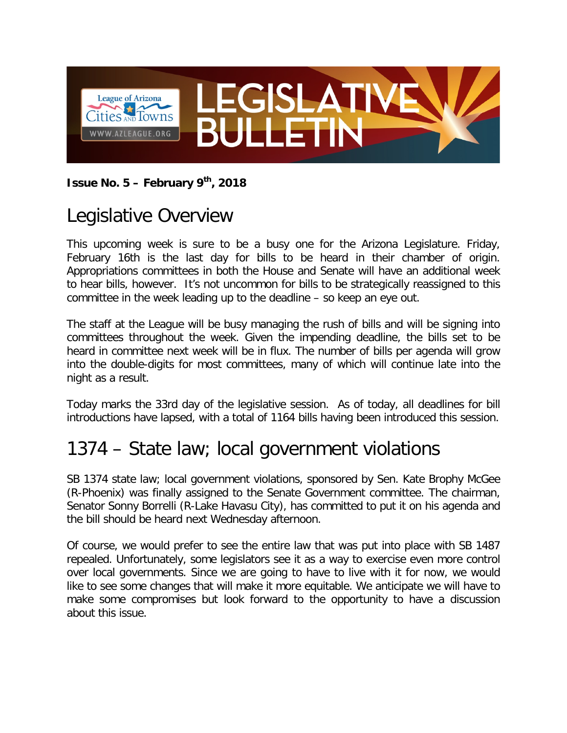

#### **Issue No. 5 – February 9th, 2018**

# Legislative Overview

This upcoming week is sure to be a busy one for the Arizona Legislature. Friday, February 16th is the last day for bills to be heard in their chamber of origin. Appropriations committees in both the House and Senate will have an additional week to hear bills, however. It's not uncommon for bills to be strategically reassigned to this committee in the week leading up to the deadline – so keep an eye out.

The staff at the League will be busy managing the rush of bills and will be signing into committees throughout the week. Given the impending deadline, the bills set to be heard in committee next week will be in flux. The number of bills per agenda will grow into the double-digits for most committees, many of which will continue late into the night as a result.

Today marks the 33rd day of the legislative session. As of today, all deadlines for bill introductions have lapsed, with a total of 1164 bills having been introduced this session.

# 1374 – State law; local government violations

SB 1374 state law; local government violations, sponsored by Sen. Kate Brophy McGee (R-Phoenix) was finally assigned to the Senate Government committee. The chairman, Senator Sonny Borrelli (R-Lake Havasu City), has committed to put it on his agenda and the bill should be heard next Wednesday afternoon.

Of course, we would prefer to see the entire law that was put into place with SB 1487 repealed. Unfortunately, some legislators see it as a way to exercise even more control over local governments. Since we are going to have to live with it for now, we would like to see some changes that will make it more equitable. We anticipate we will have to make some compromises but look forward to the opportunity to have a discussion about this issue.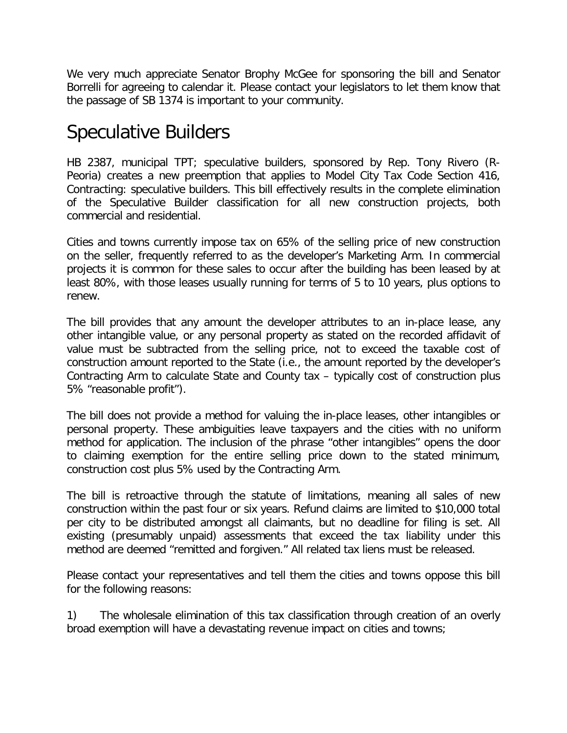We very much appreciate Senator Brophy McGee for sponsoring the bill and Senator Borrelli for agreeing to calendar it. Please contact your legislators to let them know that the passage of SB 1374 is important to your community.

## Speculative Builders

HB 2387, municipal TPT; speculative builders, sponsored by Rep. Tony Rivero (R-Peoria) creates a new preemption that applies to Model City Tax Code Section 416, Contracting: speculative builders. This bill effectively results in the complete elimination of the Speculative Builder classification for all new construction projects, both commercial and residential.

Cities and towns currently impose tax on 65% of the selling price of new construction on the seller, frequently referred to as the developer's Marketing Arm. In commercial projects it is common for these sales to occur after the building has been leased by at least 80%, with those leases usually running for terms of 5 to 10 years, plus options to renew.

The bill provides that any amount the developer attributes to an in-place lease, any other intangible value, or any personal property as stated on the recorded affidavit of value must be subtracted from the selling price, not to exceed the taxable cost of construction amount reported to the State (i.e., the amount reported by the developer's Contracting Arm to calculate State and County tax – typically cost of construction plus 5% "reasonable profit").

The bill does not provide a method for valuing the in-place leases, other intangibles or personal property. These ambiguities leave taxpayers and the cities with no uniform method for application. The inclusion of the phrase "other intangibles" opens the door to claiming exemption for the entire selling price down to the stated minimum, construction cost plus 5% used by the Contracting Arm.

The bill is retroactive through the statute of limitations, meaning all sales of new construction within the past four or six years. Refund claims are limited to \$10,000 total per city to be distributed amongst all claimants, but no deadline for filing is set. All existing (presumably unpaid) assessments that exceed the tax liability under this method are deemed "remitted and forgiven." All related tax liens must be released.

Please contact your representatives and tell them the cities and towns oppose this bill for the following reasons:

1) The wholesale elimination of this tax classification through creation of an overly broad exemption will have a devastating revenue impact on cities and towns;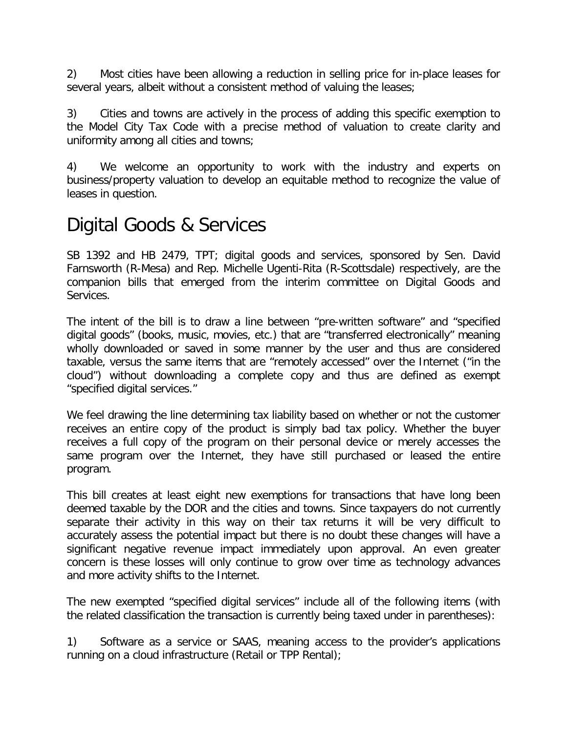2) Most cities have been allowing a reduction in selling price for in-place leases for several years, albeit without a consistent method of valuing the leases;

3) Cities and towns are actively in the process of adding this specific exemption to the Model City Tax Code with a precise method of valuation to create clarity and uniformity among all cities and towns;

4) We welcome an opportunity to work with the industry and experts on business/property valuation to develop an equitable method to recognize the value of leases in question.

## Digital Goods & Services

SB 1392 and HB 2479, TPT; digital goods and services, sponsored by Sen. David Farnsworth (R-Mesa) and Rep. Michelle Ugenti-Rita (R-Scottsdale) respectively, are the companion bills that emerged from the interim committee on Digital Goods and Services.

The intent of the bill is to draw a line between "pre-written software" and "specified digital goods" (books, music, movies, etc.) that are "transferred electronically" meaning wholly downloaded or saved in some manner by the user and thus are considered taxable, versus the same items that are "remotely accessed" over the Internet ("in the cloud") without downloading a complete copy and thus are defined as exempt "specified digital services."

We feel drawing the line determining tax liability based on whether or not the customer receives an entire copy of the product is simply bad tax policy. Whether the buyer receives a full copy of the program on their personal device or merely accesses the same program over the Internet, they have still purchased or leased the entire program.

This bill creates at least eight new exemptions for transactions that have long been deemed taxable by the DOR and the cities and towns. Since taxpayers do not currently separate their activity in this way on their tax returns it will be very difficult to accurately assess the potential impact but there is no doubt these changes will have a significant negative revenue impact immediately upon approval. An even greater concern is these losses will only continue to grow over time as technology advances and more activity shifts to the Internet.

The new exempted "specified digital services" include all of the following items (with the related classification the transaction is currently being taxed under in parentheses):

1) Software as a service or SAAS, meaning access to the provider's applications running on a cloud infrastructure (Retail or TPP Rental);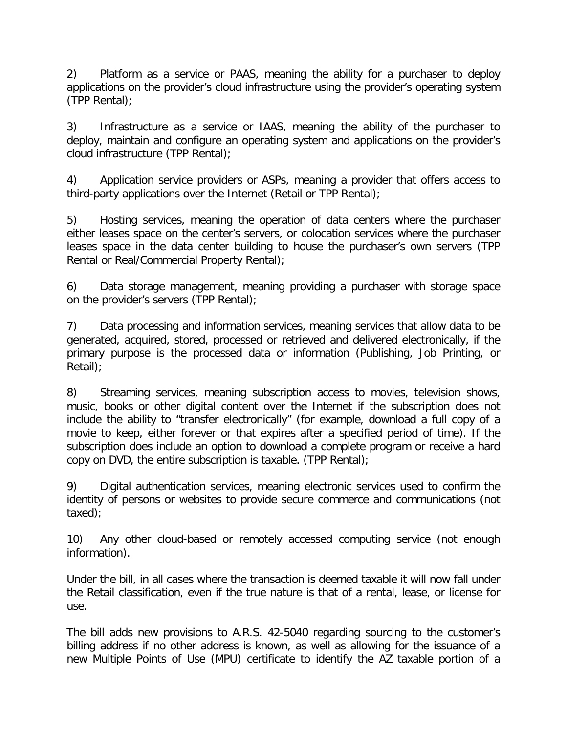2) Platform as a service or PAAS, meaning the ability for a purchaser to deploy applications on the provider's cloud infrastructure using the provider's operating system (TPP Rental);

3) Infrastructure as a service or IAAS, meaning the ability of the purchaser to deploy, maintain and configure an operating system and applications on the provider's cloud infrastructure (TPP Rental);

4) Application service providers or ASPs, meaning a provider that offers access to third-party applications over the Internet (Retail or TPP Rental);

5) Hosting services, meaning the operation of data centers where the purchaser either leases space on the center's servers, or colocation services where the purchaser leases space in the data center building to house the purchaser's own servers (TPP Rental or Real/Commercial Property Rental);

6) Data storage management, meaning providing a purchaser with storage space on the provider's servers (TPP Rental);

7) Data processing and information services, meaning services that allow data to be generated, acquired, stored, processed or retrieved and delivered electronically, if the primary purpose is the processed data or information (Publishing, Job Printing, or Retail);

8) Streaming services, meaning subscription access to movies, television shows, music, books or other digital content over the Internet if the subscription does not include the ability to "transfer electronically" (for example, download a full copy of a movie to keep, either forever or that expires after a specified period of time). If the subscription does include an option to download a complete program or receive a hard copy on DVD, the entire subscription is taxable. (TPP Rental);

9) Digital authentication services, meaning electronic services used to confirm the identity of persons or websites to provide secure commerce and communications (not taxed);

10) Any other cloud-based or remotely accessed computing service (not enough information).

Under the bill, in all cases where the transaction is deemed taxable it will now fall under the Retail classification, even if the true nature is that of a rental, lease, or license for use.

The bill adds new provisions to A.R.S. 42-5040 regarding sourcing to the customer's billing address if no other address is known, as well as allowing for the issuance of a new Multiple Points of Use (MPU) certificate to identify the AZ taxable portion of a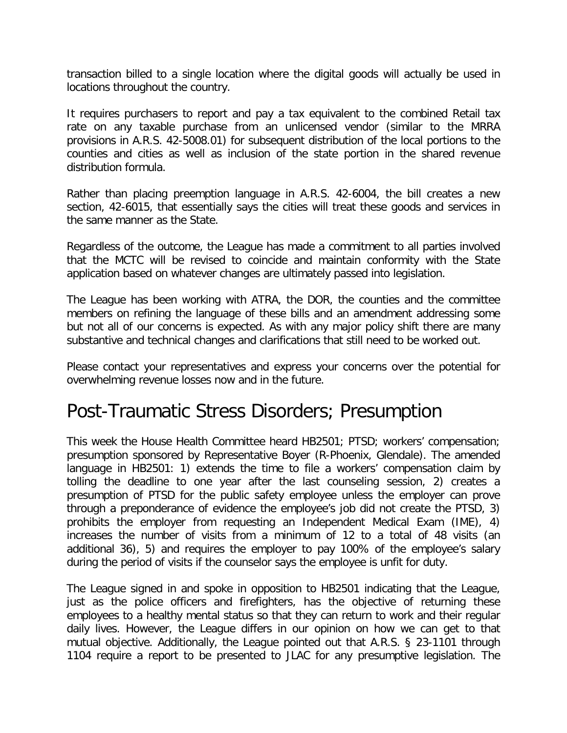transaction billed to a single location where the digital goods will actually be used in locations throughout the country.

It requires purchasers to report and pay a tax equivalent to the combined Retail tax rate on any taxable purchase from an unlicensed vendor (similar to the MRRA provisions in A.R.S. 42-5008.01) for subsequent distribution of the local portions to the counties and cities as well as inclusion of the state portion in the shared revenue distribution formula.

Rather than placing preemption language in A.R.S. 42-6004, the bill creates a new section, 42-6015, that essentially says the cities will treat these goods and services in the same manner as the State.

Regardless of the outcome, the League has made a commitment to all parties involved that the MCTC will be revised to coincide and maintain conformity with the State application based on whatever changes are ultimately passed into legislation.

The League has been working with ATRA, the DOR, the counties and the committee members on refining the language of these bills and an amendment addressing some but not all of our concerns is expected. As with any major policy shift there are many substantive and technical changes and clarifications that still need to be worked out.

Please contact your representatives and express your concerns over the potential for overwhelming revenue losses now and in the future.

### Post-Traumatic Stress Disorders; Presumption

This week the House Health Committee heard HB2501; PTSD; workers' compensation; presumption sponsored by Representative Boyer (R-Phoenix, Glendale). The amended language in HB2501: 1) extends the time to file a workers' compensation claim by tolling the deadline to one year after the last counseling session, 2) creates a presumption of PTSD for the public safety employee unless the employer can prove through a preponderance of evidence the employee's job did not create the PTSD, 3) prohibits the employer from requesting an Independent Medical Exam (IME), 4) increases the number of visits from a minimum of 12 to a total of 48 visits (an additional 36), 5) and requires the employer to pay 100% of the employee's salary during the period of visits if the counselor says the employee is unfit for duty.

The League signed in and spoke in opposition to HB2501 indicating that the League, just as the police officers and firefighters, has the objective of returning these employees to a healthy mental status so that they can return to work and their regular daily lives. However, the League differs in our opinion on how we can get to that mutual objective. Additionally, the League pointed out that A.R.S. § 23-1101 through 1104 require a report to be presented to JLAC for any presumptive legislation. The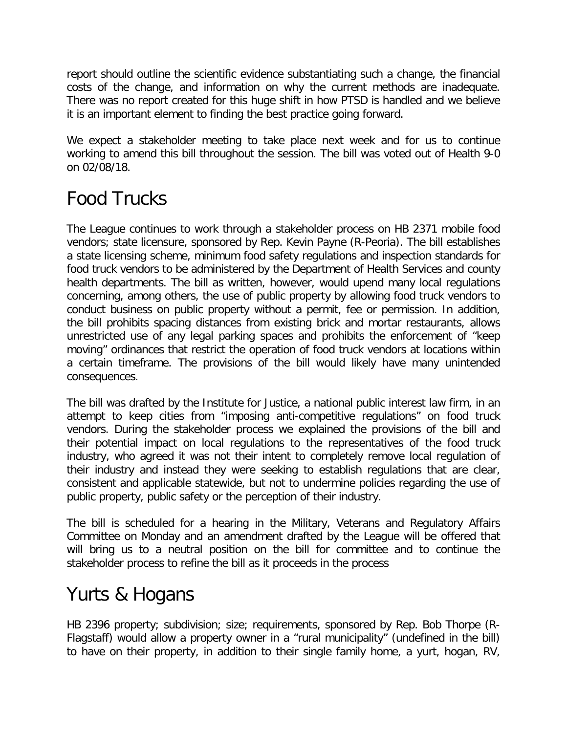report should outline the scientific evidence substantiating such a change, the financial costs of the change, and information on why the current methods are inadequate. There was no report created for this huge shift in how PTSD is handled and we believe it is an important element to finding the best practice going forward.

We expect a stakeholder meeting to take place next week and for us to continue working to amend this bill throughout the session. The bill was voted out of Health 9-0 on 02/08/18.

# Food Trucks

The League continues to work through a stakeholder process on HB 2371 mobile food vendors; state licensure, sponsored by Rep. Kevin Payne (R-Peoria). The bill establishes a state licensing scheme, minimum food safety regulations and inspection standards for food truck vendors to be administered by the Department of Health Services and county health departments. The bill as written, however, would upend many local regulations concerning, among others, the use of public property by allowing food truck vendors to conduct business on public property without a permit, fee or permission. In addition, the bill prohibits spacing distances from existing brick and mortar restaurants, allows unrestricted use of any legal parking spaces and prohibits the enforcement of "keep moving" ordinances that restrict the operation of food truck vendors at locations within a certain timeframe. The provisions of the bill would likely have many unintended consequences.

The bill was drafted by the Institute for Justice, a national public interest law firm, in an attempt to keep cities from "imposing anti-competitive regulations" on food truck vendors. During the stakeholder process we explained the provisions of the bill and their potential impact on local regulations to the representatives of the food truck industry, who agreed it was not their intent to completely remove local regulation of their industry and instead they were seeking to establish regulations that are clear, consistent and applicable statewide, but not to undermine policies regarding the use of public property, public safety or the perception of their industry.

The bill is scheduled for a hearing in the Military, Veterans and Regulatory Affairs Committee on Monday and an amendment drafted by the League will be offered that will bring us to a neutral position on the bill for committee and to continue the stakeholder process to refine the bill as it proceeds in the process

## Yurts & Hogans

HB 2396 property; subdivision; size; requirements, sponsored by Rep. Bob Thorpe (R-Flagstaff) would allow a property owner in a "rural municipality" (undefined in the bill) to have on their property, in addition to their single family home, a yurt, hogan, RV,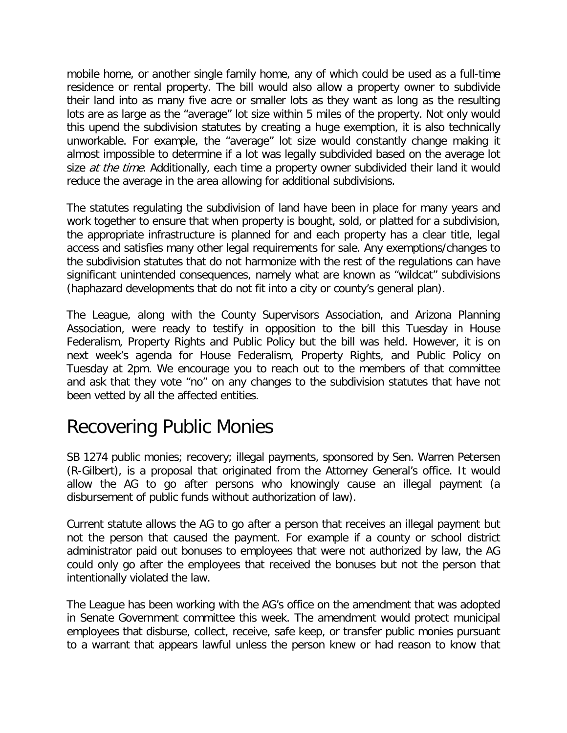mobile home, or another single family home, any of which could be used as a full-time residence or rental property. The bill would also allow a property owner to subdivide their land into as many five acre or smaller lots as they want as long as the resulting lots are as large as the "average" lot size within 5 miles of the property. Not only would this upend the subdivision statutes by creating a huge exemption, it is also technically unworkable. For example, the "average" lot size would constantly change making it almost impossible to determine if a lot was legally subdivided based on the average lot size *at the time*. Additionally, each time a property owner subdivided their land it would reduce the average in the area allowing for additional subdivisions.

The statutes regulating the subdivision of land have been in place for many years and work together to ensure that when property is bought, sold, or platted for a subdivision, the appropriate infrastructure is planned for and each property has a clear title, legal access and satisfies many other legal requirements for sale. Any exemptions/changes to the subdivision statutes that do not harmonize with the rest of the regulations can have significant unintended consequences, namely what are known as "wildcat" subdivisions (haphazard developments that do not fit into a city or county's general plan).

The League, along with the County Supervisors Association, and Arizona Planning Association, were ready to testify in opposition to the bill this Tuesday in House Federalism, Property Rights and Public Policy but the bill was held. However, it is on next week's agenda for House Federalism, Property Rights, and Public Policy on Tuesday at 2pm. We encourage you to reach out to the members of that committee and ask that they vote "no" on any changes to the subdivision statutes that have not been vetted by all the affected entities.

## Recovering Public Monies

SB 1274 public monies; recovery; illegal payments, sponsored by Sen. Warren Petersen (R-Gilbert), is a proposal that originated from the Attorney General's office. It would allow the AG to go after persons who knowingly cause an illegal payment (a disbursement of public funds without authorization of law).

Current statute allows the AG to go after a person that receives an illegal payment but not the person that caused the payment. For example if a county or school district administrator paid out bonuses to employees that were not authorized by law, the AG could only go after the employees that received the bonuses but not the person that intentionally violated the law.

The League has been working with the AG's office on the amendment that was adopted in Senate Government committee this week. The amendment would protect municipal employees that disburse, collect, receive, safe keep, or transfer public monies pursuant to a warrant that appears lawful unless the person knew or had reason to know that